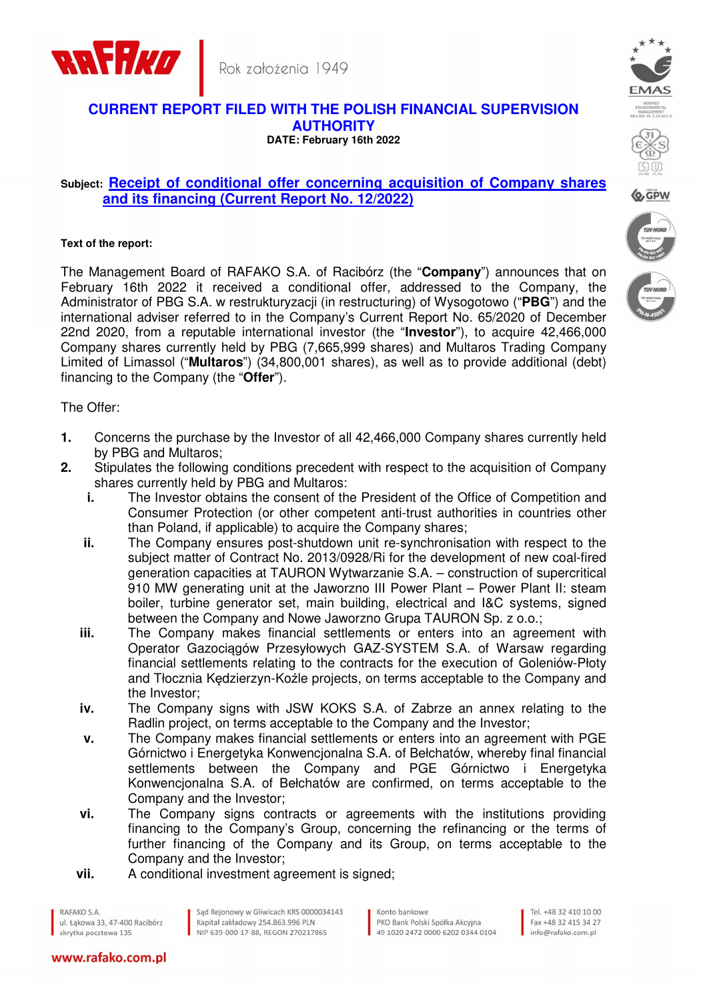



## **CURRENT REPORT FILED WITH THE POLISH FINANCIAL SUPERVISION AUTHORITY DATE: February 16th 2022**

## **Subject: Receipt of conditional offer concerning acquisition of Company shares and its financing (Current Report No. 12/2022)**

## **Text of the report:**

The Management Board of RAFAKO S.A. of Racibórz (the "**Company**") announces that on February 16th 2022 it received a conditional offer, addressed to the Company, the Administrator of PBG S.A. w restrukturyzacji (in restructuring) of Wysogotowo ("**PBG**") and the international adviser referred to in the Company's Current Report No. 65/2020 of December 22nd 2020, from a reputable international investor (the "**Investor**"), to acquire 42,466,000 Company shares currently held by PBG (7,665,999 shares) and Multaros Trading Company Limited of Limassol ("**Multaros**") (34,800,001 shares), as well as to provide additional (debt) financing to the Company (the "**Offer**").

The Offer:

- **1.** Concerns the purchase by the Investor of all 42,466,000 Company shares currently held by PBG and Multaros;
- **2.** Stipulates the following conditions precedent with respect to the acquisition of Company shares currently held by PBG and Multaros:
	- **i.** The Investor obtains the consent of the President of the Office of Competition and Consumer Protection (or other competent anti-trust authorities in countries other than Poland, if applicable) to acquire the Company shares;
	- **ii.** The Company ensures post-shutdown unit re-synchronisation with respect to the subject matter of Contract No. 2013/0928/Ri for the development of new coal-fired generation capacities at TAURON Wytwarzanie S.A. – construction of supercritical 910 MW generating unit at the Jaworzno III Power Plant – Power Plant II: steam boiler, turbine generator set, main building, electrical and I&C systems, signed between the Company and Nowe Jaworzno Grupa TAURON Sp. z o.o.;
	- **iii.** The Company makes financial settlements or enters into an agreement with Operator Gazociągów Przesyłowych GAZ-SYSTEM S.A. of Warsaw regarding financial settlements relating to the contracts for the execution of Goleniów-Płoty and Tłocznia Kędzierzyn-Koźle projects, on terms acceptable to the Company and the Investor;
	- **iv.** The Company signs with JSW KOKS S.A. of Zabrze an annex relating to the Radlin project, on terms acceptable to the Company and the Investor;
	- **v.** The Company makes financial settlements or enters into an agreement with PGE Górnictwo i Energetyka Konwencjonalna S.A. of Bełchatów, whereby final financial settlements between the Company and PGE Górnictwo i Energetyka Konwencjonalna S.A. of Bełchatów are confirmed, on terms acceptable to the Company and the Investor;
	- **vi.** The Company signs contracts or agreements with the institutions providing financing to the Company's Group, concerning the refinancing or the terms of further financing of the Company and its Group, on terms acceptable to the Company and the Investor;
	- **vii.** A conditional investment agreement is signed:

RAFAKO S.A. ul, Łakowa 33, 47-400 Racibórz skrytka pocztowa 135

www.rafako.com.pl

Sąd Rejonowy w Gliwicach KRS 0000034143 Kapitał zakładowy 254.863.996 PLN NIP 639-000-17-88, REGON 270217865

Konto bankowe PKO Bank Polski Spółka Akcyina 49 1020 2472 0000 6202 0344 0104